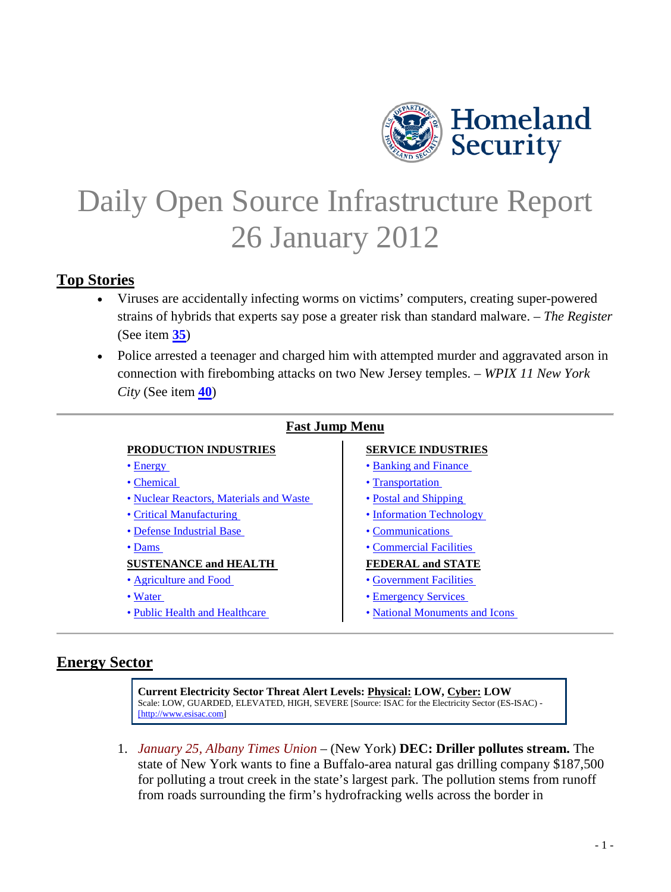

# <span id="page-0-2"></span>Daily Open Source Infrastructure Report 26 January 2012

## **Top Stories**

- Viruses are accidentally infecting worms on victims' computers, creating super-powered strains of hybrids that experts say pose a greater risk than standard malware. – *The Register* (See item **[35](#page-13-0)**)
- Police arrested a teenager and charged him with attempted murder and aggravated arson in connection with firebombing attacks on two New Jersey temples. – *WPIX 11 New York City* (See item **[40](#page-15-0)**)

| <b>Fast Jump Menu</b>                   |                                |
|-----------------------------------------|--------------------------------|
| <b>PRODUCTION INDUSTRIES</b>            | <b>SERVICE INDUSTRIES</b>      |
| $\bullet$ Energy                        | • Banking and Finance          |
| • Chemical                              | • Transportation               |
| • Nuclear Reactors, Materials and Waste | • Postal and Shipping          |
| • Critical Manufacturing                | • Information Technology       |
| • Defense Industrial Base               | • Communications               |
| $\bullet$ Dams                          | • Commercial Facilities        |
| <b>SUSTENANCE and HEALTH</b>            | <b>FEDERAL and STATE</b>       |
| • Agriculture and Food                  | • Government Facilities        |
| • Water                                 | • Emergency Services           |
| • Public Health and Healthcare          | • National Monuments and Icons |

# <span id="page-0-0"></span>**Energy Sector**

**Current Electricity Sector Threat Alert Levels: Physical: LOW, Cyber: LOW** Scale: LOW, GUARDED, ELEVATED, HIGH, SEVERE [Source: ISAC for the Electricity Sector (ES-ISAC) - [\[http://www.esisac.com\]](http://www.esisac.com/)

<span id="page-0-1"></span>1. *January 25, Albany Times Union* – (New York) **DEC: Driller pollutes stream.** The state of New York wants to fine a Buffalo-area natural gas drilling company \$187,500 for polluting a trout creek in the state's largest park. The pollution stems from runoff from roads surrounding the firm's hydrofracking wells across the border in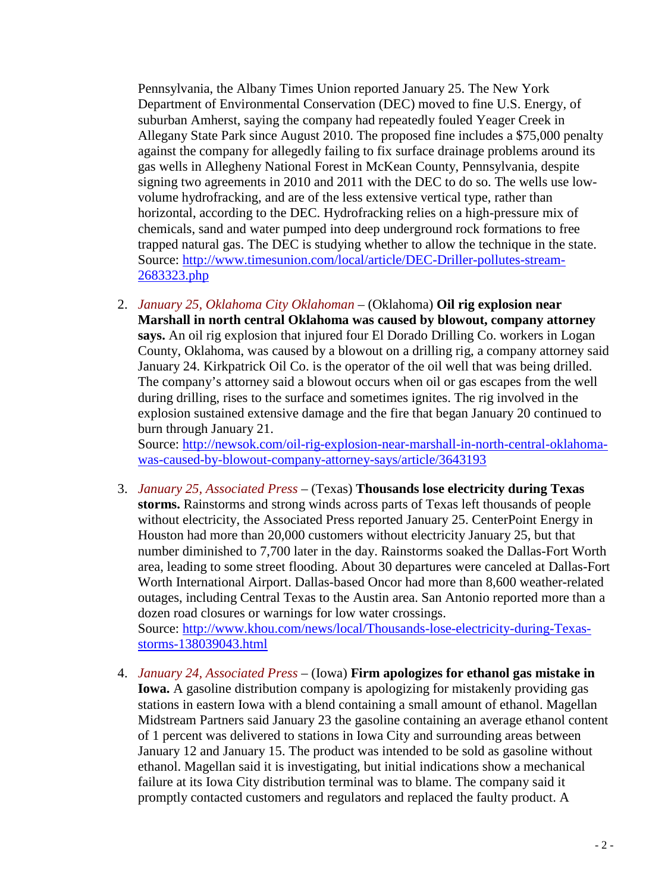Pennsylvania, the Albany Times Union reported January 25. The New York Department of Environmental Conservation (DEC) moved to fine U.S. Energy, of suburban Amherst, saying the company had repeatedly fouled Yeager Creek in Allegany State Park since August 2010. The proposed fine includes a \$75,000 penalty against the company for allegedly failing to fix surface drainage problems around its gas wells in Allegheny National Forest in McKean County, Pennsylvania, despite signing two agreements in 2010 and 2011 with the DEC to do so. The wells use lowvolume hydrofracking, and are of the less extensive vertical type, rather than horizontal, according to the DEC. Hydrofracking relies on a high-pressure mix of chemicals, sand and water pumped into deep underground rock formations to free trapped natural gas. The DEC is studying whether to allow the technique in the state. Source: [http://www.timesunion.com/local/article/DEC-Driller-pollutes-stream-](http://www.timesunion.com/local/article/DEC-Driller-pollutes-stream-2683323.php)[2683323.php](http://www.timesunion.com/local/article/DEC-Driller-pollutes-stream-2683323.php)

2. *January 25, Oklahoma City Oklahoman* – (Oklahoma) **Oil rig explosion near Marshall in north central Oklahoma was caused by blowout, company attorney says.** An oil rig explosion that injured four El Dorado Drilling Co. workers in Logan County, Oklahoma, was caused by a blowout on a drilling rig, a company attorney said January 24. Kirkpatrick Oil Co. is the operator of the oil well that was being drilled. The company's attorney said a blowout occurs when oil or gas escapes from the well during drilling, rises to the surface and sometimes ignites. The rig involved in the explosion sustained extensive damage and the fire that began January 20 continued to burn through January 21.

Source: [http://newsok.com/oil-rig-explosion-near-marshall-in-north-central-oklahoma](http://newsok.com/oil-rig-explosion-near-marshall-in-north-central-oklahoma-was-caused-by-blowout-company-attorney-says/article/3643193)[was-caused-by-blowout-company-attorney-says/article/3643193](http://newsok.com/oil-rig-explosion-near-marshall-in-north-central-oklahoma-was-caused-by-blowout-company-attorney-says/article/3643193)

<span id="page-1-0"></span>3. *January 25, Associated Press* – (Texas) **Thousands lose electricity during Texas storms.** Rainstorms and strong winds across parts of Texas left thousands of people without electricity, the Associated Press reported January 25. CenterPoint Energy in Houston had more than 20,000 customers without electricity January 25, but that number diminished to 7,700 later in the day. Rainstorms soaked the Dallas-Fort Worth area, leading to some street flooding. About 30 departures were canceled at Dallas-Fort Worth International Airport. Dallas-based Oncor had more than 8,600 weather-related outages, including Central Texas to the Austin area. San Antonio reported more than a dozen road closures or warnings for low water crossings.

Source: [http://www.khou.com/news/local/Thousands-lose-electricity-during-Texas](http://www.khou.com/news/local/Thousands-lose-electricity-during-Texas-storms-138039043.html)[storms-138039043.html](http://www.khou.com/news/local/Thousands-lose-electricity-during-Texas-storms-138039043.html)

4. *January 24, Associated Press* – (Iowa) **Firm apologizes for ethanol gas mistake in Iowa.** A gasoline distribution company is apologizing for mistakenly providing gas stations in eastern Iowa with a blend containing a small amount of ethanol. Magellan Midstream Partners said January 23 the gasoline containing an average ethanol content of 1 percent was delivered to stations in Iowa City and surrounding areas between January 12 and January 15. The product was intended to be sold as gasoline without ethanol. Magellan said it is investigating, but initial indications show a mechanical failure at its Iowa City distribution terminal was to blame. The company said it promptly contacted customers and regulators and replaced the faulty product. A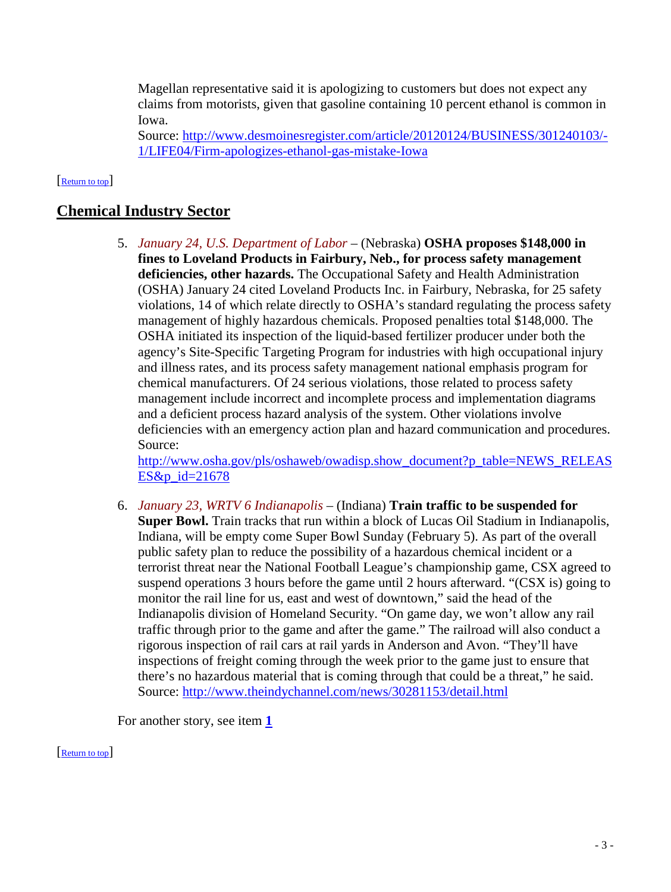Magellan representative said it is apologizing to customers but does not expect any claims from motorists, given that gasoline containing 10 percent ethanol is common in Iowa.

<span id="page-2-0"></span>Source: [http://www.desmoinesregister.com/article/20120124/BUSINESS/301240103/-](http://www.desmoinesregister.com/article/20120124/BUSINESS/301240103/-1/LIFE04/Firm-apologizes-ethanol-gas-mistake-Iowa) [1/LIFE04/Firm-apologizes-ethanol-gas-mistake-Iowa](http://www.desmoinesregister.com/article/20120124/BUSINESS/301240103/-1/LIFE04/Firm-apologizes-ethanol-gas-mistake-Iowa)

#### [\[Return to top\]](#page-0-2)

## <span id="page-2-3"></span>**Chemical Industry Sector**

5. *January 24, U.S. Department of Labor* – (Nebraska) **OSHA proposes \$148,000 in fines to Loveland Products in Fairbury, Neb., for process safety management deficiencies, other hazards.** The Occupational Safety and Health Administration (OSHA) January 24 cited Loveland Products Inc. in Fairbury, Nebraska, for 25 safety violations, 14 of which relate directly to OSHA's standard regulating the process safety management of highly hazardous chemicals. Proposed penalties total \$148,000. The OSHA initiated its inspection of the liquid-based fertilizer producer under both the agency's Site-Specific Targeting Program for industries with high occupational injury and illness rates, and its process safety management national emphasis program for chemical manufacturers. Of 24 serious violations, those related to process safety management include incorrect and incomplete process and implementation diagrams and a deficient process hazard analysis of the system. Other violations involve deficiencies with an emergency action plan and hazard communication and procedures. Source:

[http://www.osha.gov/pls/oshaweb/owadisp.show\\_document?p\\_table=NEWS\\_RELEAS](http://www.osha.gov/pls/oshaweb/owadisp.show_document?p_table=NEWS_RELEASES&p_id=21678) [ES&p\\_id=21678](http://www.osha.gov/pls/oshaweb/owadisp.show_document?p_table=NEWS_RELEASES&p_id=21678)

<span id="page-2-2"></span>6. *January 23, WRTV 6 Indianapolis* – (Indiana) **Train traffic to be suspended for Super Bowl.** Train tracks that run within a block of Lucas Oil Stadium in Indianapolis, Indiana, will be empty come Super Bowl Sunday (February 5). As part of the overall public safety plan to reduce the possibility of a hazardous chemical incident or a terrorist threat near the National Football League's championship game, CSX agreed to suspend operations 3 hours before the game until 2 hours afterward. "(CSX is) going to monitor the rail line for us, east and west of downtown," said the head of the Indianapolis division of Homeland Security. "On game day, we won't allow any rail traffic through prior to the game and after the game." The railroad will also conduct a rigorous inspection of rail cars at rail yards in Anderson and Avon. "They'll have inspections of freight coming through the week prior to the game just to ensure that there's no hazardous material that is coming through that could be a threat," he said. Source:<http://www.theindychannel.com/news/30281153/detail.html>

<span id="page-2-1"></span>For another story, see item **[1](#page-0-1)**

[\[Return to top\]](#page-0-2)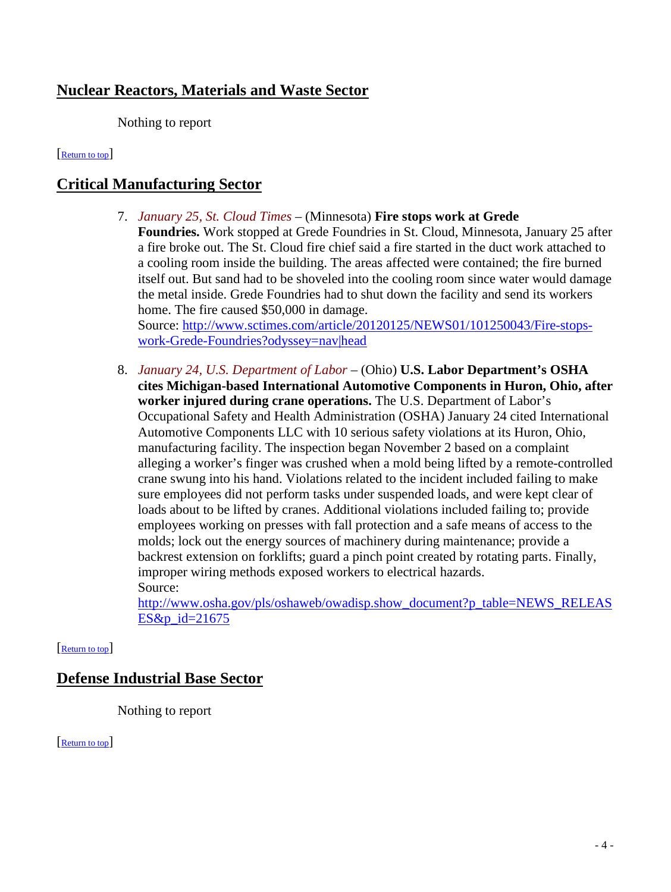# **Nuclear Reactors, Materials and Waste Sector**

<span id="page-3-1"></span>Nothing to report

## [\[Return to top\]](#page-0-2)

# **Critical Manufacturing Sector**

- 7. *January 25, St. Cloud Times* (Minnesota) **Fire stops work at Grede Foundries.** Work stopped at Grede Foundries in St. Cloud, Minnesota, January 25 after a fire broke out. The St. Cloud fire chief said a fire started in the duct work attached to a cooling room inside the building. The areas affected were contained; the fire burned itself out. But sand had to be shoveled into the cooling room since water would damage the metal inside. Grede Foundries had to shut down the facility and send its workers home. The fire caused \$50,000 in damage. Source: [http://www.sctimes.com/article/20120125/NEWS01/101250043/Fire-stops](http://www.sctimes.com/article/20120125/NEWS01/101250043/Fire-stops-work-Grede-Foundries?odyssey=nav|head)[work-Grede-Foundries?odyssey=nav|head](http://www.sctimes.com/article/20120125/NEWS01/101250043/Fire-stops-work-Grede-Foundries?odyssey=nav|head)
- 8. *January 24, U.S. Department of Labor* (Ohio) **U.S. Labor Department's OSHA cites Michigan-based International Automotive Components in Huron, Ohio, after worker injured during crane operations.** The U.S. Department of Labor's Occupational Safety and Health Administration (OSHA) January 24 cited International Automotive Components LLC with 10 serious safety violations at its Huron, Ohio, manufacturing facility. The inspection began November 2 based on a complaint alleging a worker's finger was crushed when a mold being lifted by a remote-controlled crane swung into his hand. Violations related to the incident included failing to make sure employees did not perform tasks under suspended loads, and were kept clear of loads about to be lifted by cranes. Additional violations included failing to; provide employees working on presses with fall protection and a safe means of access to the molds; lock out the energy sources of machinery during maintenance; provide a backrest extension on forklifts; guard a pinch point created by rotating parts. Finally, improper wiring methods exposed workers to electrical hazards. Source:

<span id="page-3-2"></span>[http://www.osha.gov/pls/oshaweb/owadisp.show\\_document?p\\_table=NEWS\\_RELEAS](http://www.osha.gov/pls/oshaweb/owadisp.show_document?p_table=NEWS_RELEASES&p_id=21675) [ES&p\\_id=21675](http://www.osha.gov/pls/oshaweb/owadisp.show_document?p_table=NEWS_RELEASES&p_id=21675)

## [\[Return to top\]](#page-0-2)

## **Defense Industrial Base Sector**

<span id="page-3-0"></span>Nothing to report

[\[Return to top\]](#page-0-2)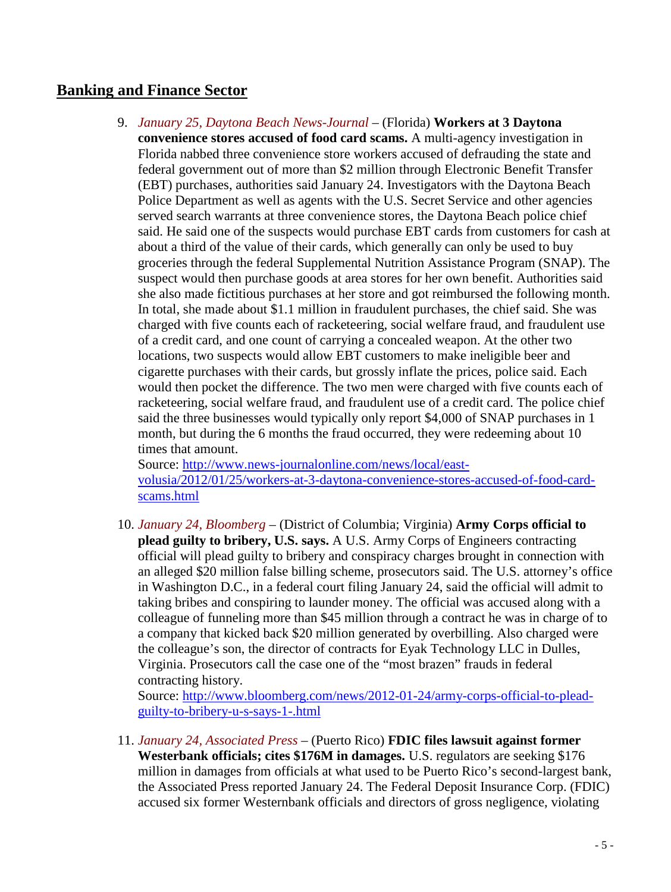# <span id="page-4-0"></span>**Banking and Finance Sector**

9. *January 25, Daytona Beach News-Journal* – (Florida) **Workers at 3 Daytona convenience stores accused of food card scams.** A multi-agency investigation in Florida nabbed three convenience store workers accused of defrauding the state and federal government out of more than \$2 million through Electronic Benefit Transfer (EBT) purchases, authorities said January 24. Investigators with the Daytona Beach Police Department as well as agents with the U.S. Secret Service and other agencies served search warrants at three convenience stores, the Daytona Beach police chief said. He said one of the suspects would purchase EBT cards from customers for cash at about a third of the value of their cards, which generally can only be used to buy groceries through the federal Supplemental Nutrition Assistance Program (SNAP). The suspect would then purchase goods at area stores for her own benefit. Authorities said she also made fictitious purchases at her store and got reimbursed the following month. In total, she made about \$1.1 million in fraudulent purchases, the chief said. She was charged with five counts each of racketeering, social welfare fraud, and fraudulent use of a credit card, and one count of carrying a concealed weapon. At the other two locations, two suspects would allow EBT customers to make ineligible beer and cigarette purchases with their cards, but grossly inflate the prices, police said. Each would then pocket the difference. The two men were charged with five counts each of racketeering, social welfare fraud, and fraudulent use of a credit card. The police chief said the three businesses would typically only report \$4,000 of SNAP purchases in 1 month, but during the 6 months the fraud occurred, they were redeeming about 10 times that amount.

Source: [http://www.news-journalonline.com/news/local/east](http://www.news-journalonline.com/news/local/east-volusia/2012/01/25/workers-at-3-daytona-convenience-stores-accused-of-food-card-scams.html)[volusia/2012/01/25/workers-at-3-daytona-convenience-stores-accused-of-food-card](http://www.news-journalonline.com/news/local/east-volusia/2012/01/25/workers-at-3-daytona-convenience-stores-accused-of-food-card-scams.html)[scams.html](http://www.news-journalonline.com/news/local/east-volusia/2012/01/25/workers-at-3-daytona-convenience-stores-accused-of-food-card-scams.html)

<span id="page-4-1"></span>10. *January 24, Bloomberg* – (District of Columbia; Virginia) **Army Corps official to plead guilty to bribery, U.S. says.** A U.S. Army Corps of Engineers contracting official will plead guilty to bribery and conspiracy charges brought in connection with an alleged \$20 million false billing scheme, prosecutors said. The U.S. attorney's office in Washington D.C., in a federal court filing January 24, said the official will admit to taking bribes and conspiring to launder money. The official was accused along with a colleague of funneling more than \$45 million through a contract he was in charge of to a company that kicked back \$20 million generated by overbilling. Also charged were the colleague's son, the director of contracts for Eyak Technology LLC in Dulles, Virginia. Prosecutors call the case one of the "most brazen" frauds in federal contracting history.

Source: [http://www.bloomberg.com/news/2012-01-24/army-corps-official-to-plead](http://www.bloomberg.com/news/2012-01-24/army-corps-official-to-plead-guilty-to-bribery-u-s-says-1-.html)[guilty-to-bribery-u-s-says-1-.html](http://www.bloomberg.com/news/2012-01-24/army-corps-official-to-plead-guilty-to-bribery-u-s-says-1-.html)

11. *January 24, Associated Press* – (Puerto Rico) **FDIC files lawsuit against former Westerbank officials; cites \$176M in damages.** U.S. regulators are seeking \$176 million in damages from officials at what used to be Puerto Rico's second-largest bank, the Associated Press reported January 24. The Federal Deposit Insurance Corp. (FDIC) accused six former Westernbank officials and directors of gross negligence, violating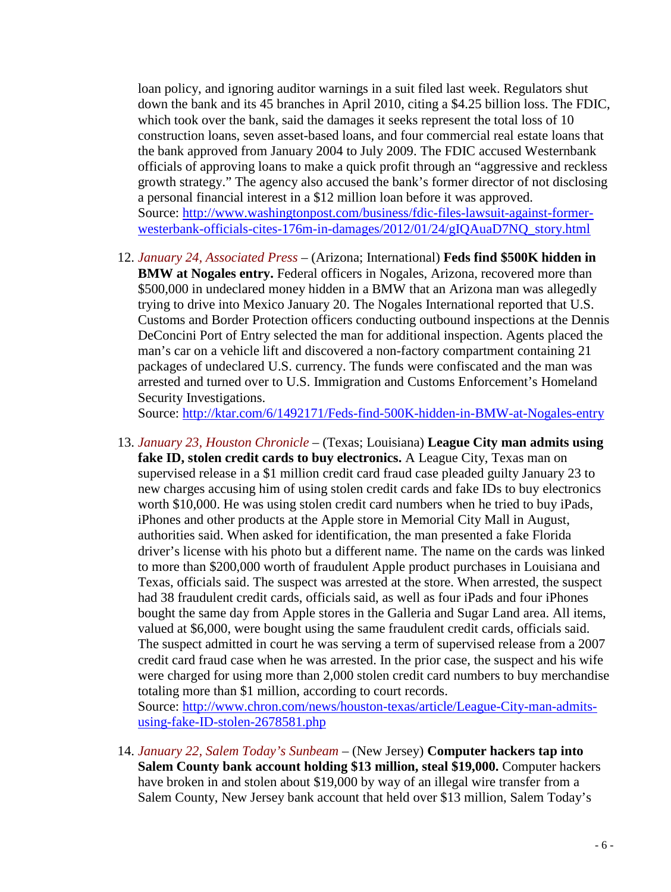loan policy, and ignoring auditor warnings in a suit filed last week. Regulators shut down the bank and its 45 branches in April 2010, citing a \$4.25 billion loss. The FDIC, which took over the bank, said the damages it seeks represent the total loss of 10 construction loans, seven asset-based loans, and four commercial real estate loans that the bank approved from January 2004 to July 2009. The FDIC accused Westernbank officials of approving loans to make a quick profit through an "aggressive and reckless growth strategy." The agency also accused the bank's former director of not disclosing a personal financial interest in a \$12 million loan before it was approved. Source: [http://www.washingtonpost.com/business/fdic-files-lawsuit-against-former](http://www.washingtonpost.com/business/fdic-files-lawsuit-against-former-westerbank-officials-cites-176m-in-damages/2012/01/24/gIQAuaD7NQ_story.html)[westerbank-officials-cites-176m-in-damages/2012/01/24/gIQAuaD7NQ\\_story.html](http://www.washingtonpost.com/business/fdic-files-lawsuit-against-former-westerbank-officials-cites-176m-in-damages/2012/01/24/gIQAuaD7NQ_story.html)

12. *January 24, Associated Press* – (Arizona; International) **Feds find \$500K hidden in BMW at Nogales entry.** Federal officers in Nogales, Arizona, recovered more than \$500,000 in undeclared money hidden in a BMW that an Arizona man was allegedly trying to drive into Mexico January 20. The Nogales International reported that U.S. Customs and Border Protection officers conducting outbound inspections at the Dennis DeConcini Port of Entry selected the man for additional inspection. Agents placed the man's car on a vehicle lift and discovered a non-factory compartment containing 21 packages of undeclared U.S. currency. The funds were confiscated and the man was arrested and turned over to U.S. Immigration and Customs Enforcement's Homeland Security Investigations.

Source:<http://ktar.com/6/1492171/Feds-find-500K-hidden-in-BMW-at-Nogales-entry>

13. *January 23, Houston Chronicle* – (Texas; Louisiana) **League City man admits using fake ID, stolen credit cards to buy electronics.** A League City, Texas man on supervised release in a \$1 million credit card fraud case pleaded guilty January 23 to new charges accusing him of using stolen credit cards and fake IDs to buy electronics worth \$10,000. He was using stolen credit card numbers when he tried to buy iPads, iPhones and other products at the Apple store in Memorial City Mall in August, authorities said. When asked for identification, the man presented a fake Florida driver's license with his photo but a different name. The name on the cards was linked to more than \$200,000 worth of fraudulent Apple product purchases in Louisiana and Texas, officials said. The suspect was arrested at the store. When arrested, the suspect had 38 fraudulent credit cards, officials said, as well as four iPads and four iPhones bought the same day from Apple stores in the Galleria and Sugar Land area. All items, valued at \$6,000, were bought using the same fraudulent credit cards, officials said. The suspect admitted in court he was serving a term of supervised release from a 2007 credit card fraud case when he was arrested. In the prior case, the suspect and his wife were charged for using more than 2,000 stolen credit card numbers to buy merchandise totaling more than \$1 million, according to court records.

Source: [http://www.chron.com/news/houston-texas/article/League-City-man-admits](http://www.chron.com/news/houston-texas/article/League-City-man-admits-using-fake-ID-stolen-2678581.php)[using-fake-ID-stolen-2678581.php](http://www.chron.com/news/houston-texas/article/League-City-man-admits-using-fake-ID-stolen-2678581.php)

<span id="page-5-0"></span>14. *January 22, Salem Today's Sunbeam* – (New Jersey) **Computer hackers tap into Salem County bank account holding \$13 million, steal \$19,000.** Computer hackers have broken in and stolen about \$19,000 by way of an illegal wire transfer from a Salem County, New Jersey bank account that held over \$13 million, Salem Today's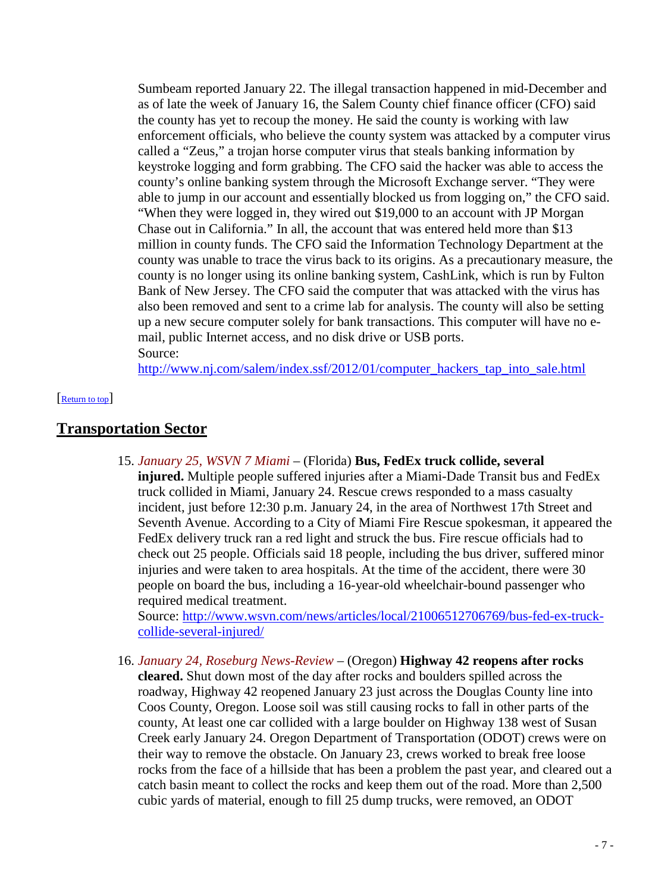Sumbeam reported January 22. The illegal transaction happened in mid-December and as of late the week of January 16, the Salem County chief finance officer (CFO) said the county has yet to recoup the money. He said the county is working with law enforcement officials, who believe the county system was attacked by a computer virus called a "Zeus," a trojan horse computer virus that steals banking information by keystroke logging and form grabbing. The CFO said the hacker was able to access the county's online banking system through the Microsoft Exchange server. "They were able to jump in our account and essentially blocked us from logging on," the CFO said. "When they were logged in, they wired out \$19,000 to an account with JP Morgan Chase out in California." In all, the account that was entered held more than \$13 million in county funds. The CFO said the Information Technology Department at the county was unable to trace the virus back to its origins. As a precautionary measure, the county is no longer using its online banking system, CashLink, which is run by Fulton Bank of New Jersey. The CFO said the computer that was attacked with the virus has also been removed and sent to a crime lab for analysis. The county will also be setting up a new secure computer solely for bank transactions. This computer will have no email, public Internet access, and no disk drive or USB ports. Source:

<span id="page-6-0"></span>[http://www.nj.com/salem/index.ssf/2012/01/computer\\_hackers\\_tap\\_into\\_sale.html](http://www.nj.com/salem/index.ssf/2012/01/computer_hackers_tap_into_sale.html)

#### [\[Return to top\]](#page-0-2)

#### **Transportation Sector**

15. *January 25, WSVN 7 Miami* – (Florida) **Bus, FedEx truck collide, several injured.** Multiple people suffered injuries after a Miami-Dade Transit bus and FedEx truck collided in Miami, January 24. Rescue crews responded to a mass casualty incident, just before 12:30 p.m. January 24, in the area of Northwest 17th Street and Seventh Avenue. According to a City of Miami Fire Rescue spokesman, it appeared the FedEx delivery truck ran a red light and struck the bus. Fire rescue officials had to check out 25 people. Officials said 18 people, including the bus driver, suffered minor injuries and were taken to area hospitals. At the time of the accident, there were 30 people on board the bus, including a 16-year-old wheelchair-bound passenger who required medical treatment.

Source: [http://www.wsvn.com/news/articles/local/21006512706769/bus-fed-ex-truck](http://www.wsvn.com/news/articles/local/21006512706769/bus-fed-ex-truck-collide-several-injured/)[collide-several-injured/](http://www.wsvn.com/news/articles/local/21006512706769/bus-fed-ex-truck-collide-several-injured/)

16. *January 24, Roseburg News-Review* – (Oregon) **Highway 42 reopens after rocks cleared.** Shut down most of the day after rocks and boulders spilled across the roadway, Highway 42 reopened January 23 just across the Douglas County line into Coos County, Oregon. Loose soil was still causing rocks to fall in other parts of the county, At least one car collided with a large boulder on Highway 138 west of Susan Creek early January 24. Oregon Department of Transportation (ODOT) crews were on their way to remove the obstacle. On January 23, crews worked to break free loose rocks from the face of a hillside that has been a problem the past year, and cleared out a catch basin meant to collect the rocks and keep them out of the road. More than 2,500 cubic yards of material, enough to fill 25 dump trucks, were removed, an ODOT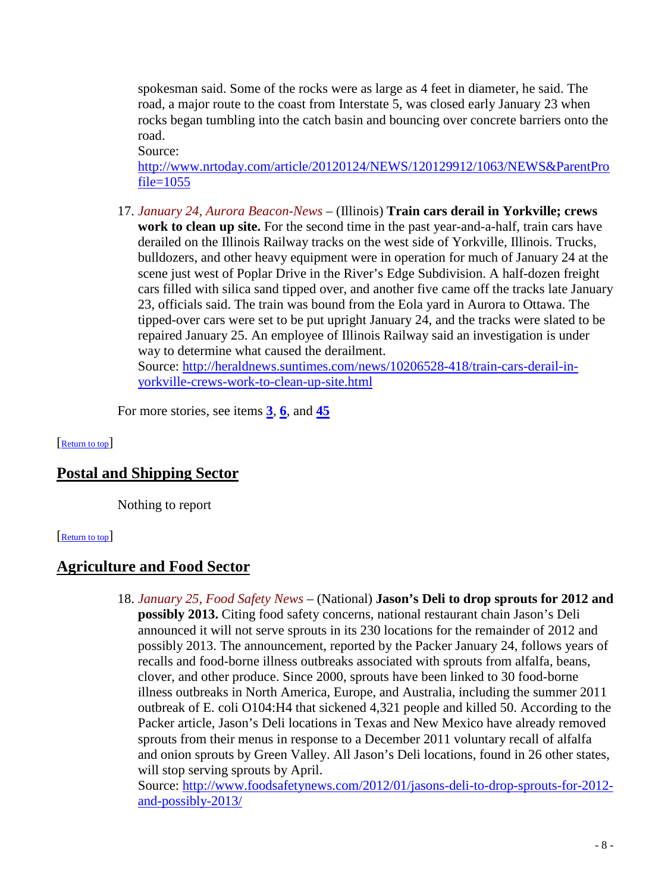spokesman said. Some of the rocks were as large as 4 feet in diameter, he said. The road, a major route to the coast from Interstate 5, was closed early January 23 when rocks began tumbling into the catch basin and bouncing over concrete barriers onto the road.

[http://www.nrtoday.com/article/20120124/NEWS/120129912/1063/NEWS&ParentPro](http://www.nrtoday.com/article/20120124/NEWS/120129912/1063/NEWS&ParentProfile=1055) [file=1055](http://www.nrtoday.com/article/20120124/NEWS/120129912/1063/NEWS&ParentProfile=1055)

17. *January 24, Aurora Beacon-News* – (Illinois) **Train cars derail in Yorkville; crews work to clean up site.** For the second time in the past year-and-a-half, train cars have derailed on the Illinois Railway tracks on the west side of Yorkville, Illinois. Trucks, bulldozers, and other heavy equipment were in operation for much of January 24 at the scene just west of Poplar Drive in the River's Edge Subdivision. A half-dozen freight cars filled with silica sand tipped over, and another five came off the tracks late January 23, officials said. The train was bound from the Eola yard in Aurora to Ottawa. The tipped-over cars were set to be put upright January 24, and the tracks were slated to be repaired January 25. An employee of Illinois Railway said an investigation is under way to determine what caused the derailment.

Source: [http://heraldnews.suntimes.com/news/10206528-418/train-cars-derail-in](http://heraldnews.suntimes.com/news/10206528-418/train-cars-derail-in-yorkville-crews-work-to-clean-up-site.html)[yorkville-crews-work-to-clean-up-site.html](http://heraldnews.suntimes.com/news/10206528-418/train-cars-derail-in-yorkville-crews-work-to-clean-up-site.html)

<span id="page-7-0"></span>For more stories, see items **[3](#page-1-0)**, **[6](#page-2-2)**, and **[45](#page-17-1)**

[\[Return to top\]](#page-0-2) 

# **Postal and Shipping Sector**

Source:

<span id="page-7-1"></span>Nothing to report

## **Return to top**

# **Agriculture and Food Sector**

18. *January 25, Food Safety News* – (National) **Jason's Deli to drop sprouts for 2012 and possibly 2013.** Citing food safety concerns, national restaurant chain Jason's Deli announced it will not serve sprouts in its 230 locations for the remainder of 2012 and possibly 2013. The announcement, reported by the Packer January 24, follows years of recalls and food-borne illness outbreaks associated with sprouts from alfalfa, beans, clover, and other produce. Since 2000, sprouts have been linked to 30 food-borne illness outbreaks in North America, Europe, and Australia, including the summer 2011 outbreak of E. coli O104:H4 that sickened 4,321 people and killed 50. According to the Packer article, Jason's Deli locations in Texas and New Mexico have already removed sprouts from their menus in response to a December 2011 voluntary recall of alfalfa and onion sprouts by Green Valley. All Jason's Deli locations, found in 26 other states, will stop serving sprouts by April.

Source: [http://www.foodsafetynews.com/2012/01/jasons-deli-to-drop-sprouts-for-2012](http://www.foodsafetynews.com/2012/01/jasons-deli-to-drop-sprouts-for-2012-and-possibly-2013/) [and-possibly-2013/](http://www.foodsafetynews.com/2012/01/jasons-deli-to-drop-sprouts-for-2012-and-possibly-2013/)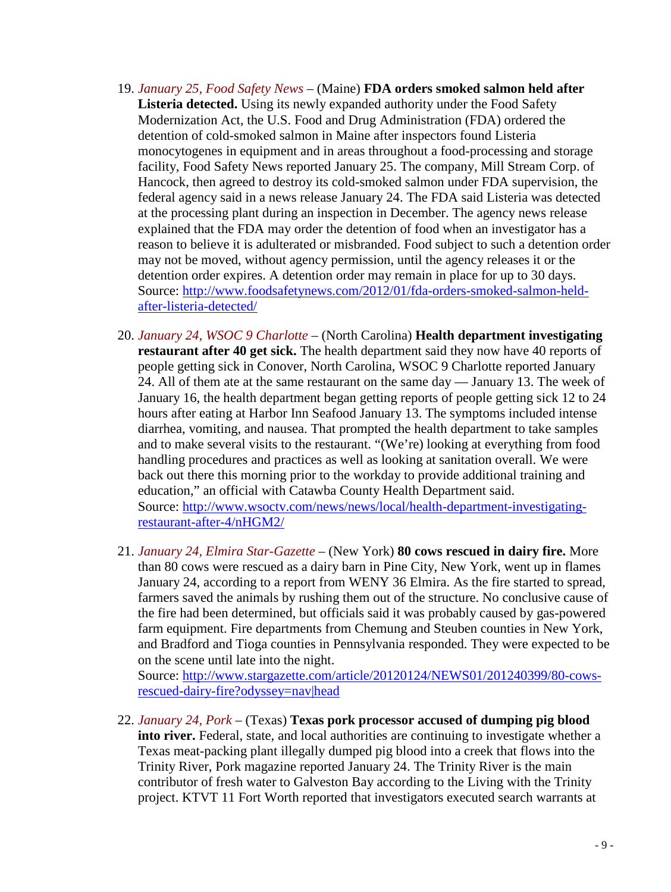- 19. *January 25, Food Safety News* (Maine) **FDA orders smoked salmon held after Listeria detected.** Using its newly expanded authority under the Food Safety Modernization Act, the U.S. Food and Drug Administration (FDA) ordered the detention of cold-smoked salmon in Maine after inspectors found Listeria monocytogenes in equipment and in areas throughout a food-processing and storage facility, Food Safety News reported January 25. The company, Mill Stream Corp. of Hancock, then agreed to destroy its cold-smoked salmon under FDA supervision, the federal agency said in a news release January 24. The FDA said Listeria was detected at the processing plant during an inspection in December. The agency news release explained that the FDA may order the detention of food when an investigator has a reason to believe it is adulterated or misbranded. Food subject to such a detention order may not be moved, without agency permission, until the agency releases it or the detention order expires. A detention order may remain in place for up to 30 days. Source: [http://www.foodsafetynews.com/2012/01/fda-orders-smoked-salmon-held](http://www.foodsafetynews.com/2012/01/fda-orders-smoked-salmon-held-after-listeria-detected/)[after-listeria-detected/](http://www.foodsafetynews.com/2012/01/fda-orders-smoked-salmon-held-after-listeria-detected/)
- 20. *January 24, WSOC 9 Charlotte* (North Carolina) **Health department investigating restaurant after 40 get sick.** The health department said they now have 40 reports of people getting sick in Conover, North Carolina, WSOC 9 Charlotte reported January 24. All of them ate at the same restaurant on the same day — January 13. The week of January 16, the health department began getting reports of people getting sick 12 to 24 hours after eating at Harbor Inn Seafood January 13. The symptoms included intense diarrhea, vomiting, and nausea. That prompted the health department to take samples and to make several visits to the restaurant. "(We're) looking at everything from food handling procedures and practices as well as looking at sanitation overall. We were back out there this morning prior to the workday to provide additional training and education," an official with Catawba County Health Department said. Source: [http://www.wsoctv.com/news/news/local/health-department-investigating](http://www.wsoctv.com/news/news/local/health-department-investigating-restaurant-after-4/nHGM2/)[restaurant-after-4/nHGM2/](http://www.wsoctv.com/news/news/local/health-department-investigating-restaurant-after-4/nHGM2/)
- 21. *January 24, Elmira Star-Gazette* (New York) **80 cows rescued in dairy fire.** More than 80 cows were rescued as a dairy barn in Pine City, New York, went up in flames January 24, according to a report from WENY 36 Elmira. As the fire started to spread, farmers saved the animals by rushing them out of the structure. No conclusive cause of the fire had been determined, but officials said it was probably caused by gas-powered farm equipment. Fire departments from Chemung and Steuben counties in New York, and Bradford and Tioga counties in Pennsylvania responded. They were expected to be on the scene until late into the night.

Source: [http://www.stargazette.com/article/20120124/NEWS01/201240399/80-cows](http://www.stargazette.com/article/20120124/NEWS01/201240399/80-cows-rescued-dairy-fire?odyssey=nav|head)[rescued-dairy-fire?odyssey=nav|head](http://www.stargazette.com/article/20120124/NEWS01/201240399/80-cows-rescued-dairy-fire?odyssey=nav|head)

<span id="page-8-0"></span>22. *January 24, Pork* – (Texas) **Texas pork processor accused of dumping pig blood into river.** Federal, state, and local authorities are continuing to investigate whether a Texas meat-packing plant illegally dumped pig blood into a creek that flows into the Trinity River, Pork magazine reported January 24. The Trinity River is the main contributor of fresh water to Galveston Bay according to the Living with the Trinity project. KTVT 11 Fort Worth reported that investigators executed search warrants at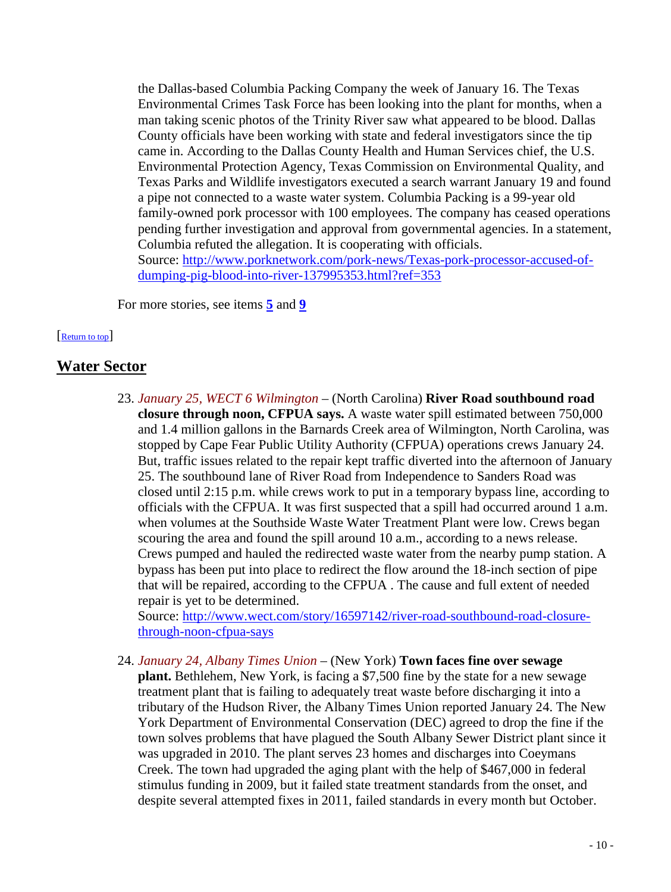the Dallas-based Columbia Packing Company the week of January 16. The Texas Environmental Crimes Task Force has been looking into the plant for months, when a man taking scenic photos of the Trinity River saw what appeared to be blood. Dallas County officials have been working with state and federal investigators since the tip came in. According to the Dallas County Health and Human Services chief, the U.S. Environmental Protection Agency, Texas Commission on Environmental Quality, and Texas Parks and Wildlife investigators executed a search warrant January 19 and found a pipe not connected to a waste water system. Columbia Packing is a 99-year old family-owned pork processor with 100 employees. The company has ceased operations pending further investigation and approval from governmental agencies. In a statement, Columbia refuted the allegation. It is cooperating with officials.

Source: [http://www.porknetwork.com/pork-news/Texas-pork-processor-accused-of](http://www.porknetwork.com/pork-news/Texas-pork-processor-accused-of-dumping-pig-blood-into-river-137995353.html?ref=353)[dumping-pig-blood-into-river-137995353.html?ref=353](http://www.porknetwork.com/pork-news/Texas-pork-processor-accused-of-dumping-pig-blood-into-river-137995353.html?ref=353)

<span id="page-9-0"></span>For more stories, see items **[5](#page-2-3)** and **[9](#page-4-0)**

#### [\[Return to top\]](#page-0-2)

## **Water Sector**

23. *January 25, WECT 6 Wilmington* – (North Carolina) **River Road southbound road closure through noon, CFPUA says.** A waste water spill estimated between 750,000 and 1.4 million gallons in the Barnards Creek area of Wilmington, North Carolina, was stopped by Cape Fear Public Utility Authority (CFPUA) operations crews January 24. But, traffic issues related to the repair kept traffic diverted into the afternoon of January 25. The southbound lane of River Road from Independence to Sanders Road was closed until 2:15 p.m. while crews work to put in a temporary bypass line, according to officials with the CFPUA. It was first suspected that a spill had occurred around 1 a.m. when volumes at the Southside Waste Water Treatment Plant were low. Crews began scouring the area and found the spill around 10 a.m., according to a news release. Crews pumped and hauled the redirected waste water from the nearby pump station. A bypass has been put into place to redirect the flow around the 18-inch section of pipe that will be repaired, according to the CFPUA . The cause and full extent of needed repair is yet to be determined.

Source: [http://www.wect.com/story/16597142/river-road-southbound-road-closure](http://www.wect.com/story/16597142/river-road-southbound-road-closure-through-noon-cfpua-says)[through-noon-cfpua-says](http://www.wect.com/story/16597142/river-road-southbound-road-closure-through-noon-cfpua-says)

24. *January 24, Albany Times Union* – (New York) **Town faces fine over sewage plant.** Bethlehem, New York, is facing a \$7,500 fine by the state for a new sewage treatment plant that is failing to adequately treat waste before discharging it into a tributary of the Hudson River, the Albany Times Union reported January 24. The New York Department of Environmental Conservation (DEC) agreed to drop the fine if the town solves problems that have plagued the South Albany Sewer District plant since it was upgraded in 2010. The plant serves 23 homes and discharges into Coeymans Creek. The town had upgraded the aging plant with the help of \$467,000 in federal stimulus funding in 2009, but it failed state treatment standards from the onset, and despite several attempted fixes in 2011, failed standards in every month but October.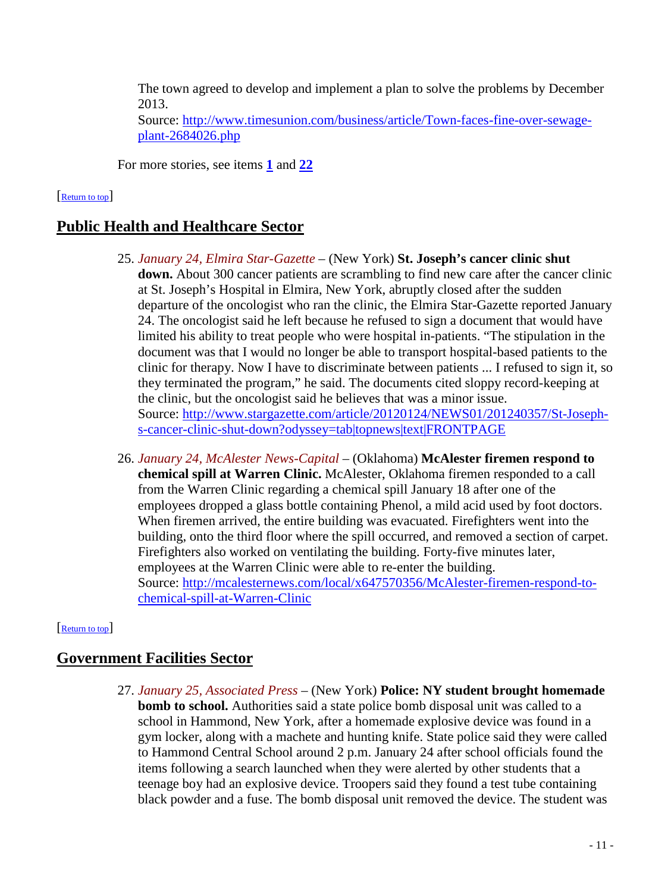The town agreed to develop and implement a plan to solve the problems by December 2013.

Source: [http://www.timesunion.com/business/article/Town-faces-fine-over-sewage](http://www.timesunion.com/business/article/Town-faces-fine-over-sewage-plant-2684026.php)[plant-2684026.php](http://www.timesunion.com/business/article/Town-faces-fine-over-sewage-plant-2684026.php)

<span id="page-10-1"></span>For more stories, see items **[1](#page-0-1)** and **[22](#page-8-0)**

## [\[Return to top\]](#page-0-2)

# **Public Health and Healthcare Sector**

- 25. *January 24, Elmira Star-Gazette* (New York) **St. Joseph's cancer clinic shut down.** About 300 cancer patients are scrambling to find new care after the cancer clinic at St. Joseph's Hospital in Elmira, New York, abruptly closed after the sudden departure of the oncologist who ran the clinic, the Elmira Star-Gazette reported January 24. The oncologist said he left because he refused to sign a document that would have limited his ability to treat people who were hospital in-patients. "The stipulation in the document was that I would no longer be able to transport hospital-based patients to the clinic for therapy. Now I have to discriminate between patients ... I refused to sign it, so they terminated the program," he said. The documents cited sloppy record-keeping at the clinic, but the oncologist said he believes that was a minor issue. Source: [http://www.stargazette.com/article/20120124/NEWS01/201240357/St-Joseph](http://www.stargazette.com/article/20120124/NEWS01/201240357/St-Joseph-s-cancer-clinic-shut-down?odyssey=tab|topnews|text|FRONTPAGE)[s-cancer-clinic-shut-down?odyssey=tab|topnews|text|FRONTPAGE](http://www.stargazette.com/article/20120124/NEWS01/201240357/St-Joseph-s-cancer-clinic-shut-down?odyssey=tab|topnews|text|FRONTPAGE)
- 26. *January 24, McAlester News-Capital* (Oklahoma) **McAlester firemen respond to chemical spill at Warren Clinic.** McAlester, Oklahoma firemen responded to a call from the Warren Clinic regarding a chemical spill January 18 after one of the employees dropped a glass bottle containing Phenol, a mild acid used by foot doctors. When firemen arrived, the entire building was evacuated. Firefighters went into the building, onto the third floor where the spill occurred, and removed a section of carpet. Firefighters also worked on ventilating the building. Forty-five minutes later, employees at the Warren Clinic were able to re-enter the building. Source: [http://mcalesternews.com/local/x647570356/McAlester-firemen-respond-to](http://mcalesternews.com/local/x647570356/McAlester-firemen-respond-to-chemical-spill-at-Warren-Clinic)[chemical-spill-at-Warren-Clinic](http://mcalesternews.com/local/x647570356/McAlester-firemen-respond-to-chemical-spill-at-Warren-Clinic)

## <span id="page-10-0"></span>[\[Return to top\]](#page-0-2)

# **Government Facilities Sector**

27. *January 25, Associated Press* – (New York) **Police: NY student brought homemade bomb to school.** Authorities said a state police bomb disposal unit was called to a school in Hammond, New York, after a homemade explosive device was found in a gym locker, along with a machete and hunting knife. State police said they were called to Hammond Central School around 2 p.m. January 24 after school officials found the items following a search launched when they were alerted by other students that a teenage boy had an explosive device. Troopers said they found a test tube containing black powder and a fuse. The bomb disposal unit removed the device. The student was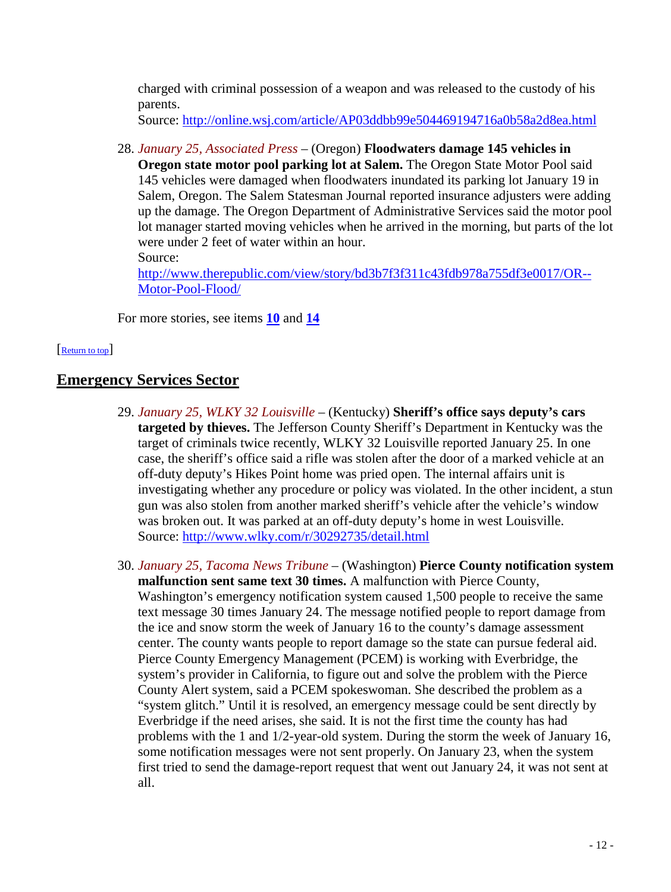charged with criminal possession of a weapon and was released to the custody of his parents.

Source:<http://online.wsj.com/article/AP03ddbb99e504469194716a0b58a2d8ea.html>

28. *January 25, Associated Press* – (Oregon) **Floodwaters damage 145 vehicles in** 

**Oregon state motor pool parking lot at Salem.** The Oregon State Motor Pool said 145 vehicles were damaged when floodwaters inundated its parking lot January 19 in Salem, Oregon. The Salem Statesman Journal reported insurance adjusters were adding up the damage. The Oregon Department of Administrative Services said the motor pool lot manager started moving vehicles when he arrived in the morning, but parts of the lot were under 2 feet of water within an hour. Source:

[http://www.therepublic.com/view/story/bd3b7f3f311c43fdb978a755df3e0017/OR--](http://www.therepublic.com/view/story/bd3b7f3f311c43fdb978a755df3e0017/OR--Motor-Pool-Flood/) [Motor-Pool-Flood/](http://www.therepublic.com/view/story/bd3b7f3f311c43fdb978a755df3e0017/OR--Motor-Pool-Flood/)

<span id="page-11-0"></span>For more stories, see items **[10](#page-4-1)** and **[14](#page-5-0)**

#### [\[Return to top\]](#page-0-2)

## **Emergency Services Sector**

- 29. *January 25, WLKY 32 Louisville* (Kentucky) **Sheriff's office says deputy's cars targeted by thieves.** The Jefferson County Sheriff's Department in Kentucky was the target of criminals twice recently, WLKY 32 Louisville reported January 25. In one case, the sheriff's office said a rifle was stolen after the door of a marked vehicle at an off-duty deputy's Hikes Point home was pried open. The internal affairs unit is investigating whether any procedure or policy was violated. In the other incident, a stun gun was also stolen from another marked sheriff's vehicle after the vehicle's window was broken out. It was parked at an off-duty deputy's home in west Louisville. Source:<http://www.wlky.com/r/30292735/detail.html>
- 30. *January 25, Tacoma News Tribune* (Washington) **Pierce County notification system malfunction sent same text 30 times.** A malfunction with Pierce County, Washington's emergency notification system caused 1,500 people to receive the same text message 30 times January 24. The message notified people to report damage from the ice and snow storm the week of January 16 to the county's damage assessment center. The county wants people to report damage so the state can pursue federal aid. Pierce County Emergency Management (PCEM) is working with Everbridge, the system's provider in California, to figure out and solve the problem with the Pierce County Alert system, said a PCEM spokeswoman. She described the problem as a "system glitch." Until it is resolved, an emergency message could be sent directly by Everbridge if the need arises, she said. It is not the first time the county has had problems with the 1 and 1/2-year-old system. During the storm the week of January 16, some notification messages were not sent properly. On January 23, when the system first tried to send the damage-report request that went out January 24, it was not sent at all.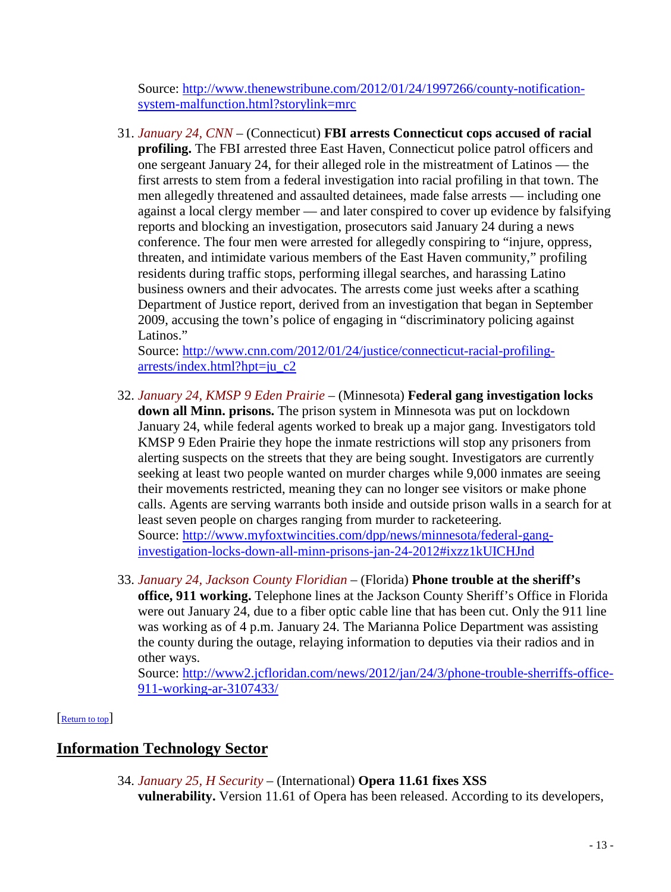Source: [http://www.thenewstribune.com/2012/01/24/1997266/county-notification](http://www.thenewstribune.com/2012/01/24/1997266/county-notification-system-malfunction.html?storylink=mrc)[system-malfunction.html?storylink=mrc](http://www.thenewstribune.com/2012/01/24/1997266/county-notification-system-malfunction.html?storylink=mrc)

31. *January 24, CNN* – (Connecticut) **FBI arrests Connecticut cops accused of racial profiling.** The FBI arrested three East Haven, Connecticut police patrol officers and one sergeant January 24, for their alleged role in the mistreatment of Latinos — the first arrests to stem from a federal investigation into racial profiling in that town. The men allegedly threatened and assaulted detainees, made false arrests — including one against a local clergy member — and later conspired to cover up evidence by falsifying reports and blocking an investigation, prosecutors said January 24 during a news conference. The four men were arrested for allegedly conspiring to "injure, oppress, threaten, and intimidate various members of the East Haven community," profiling residents during traffic stops, performing illegal searches, and harassing Latino business owners and their advocates. The arrests come just weeks after a scathing Department of Justice report, derived from an investigation that began in September 2009, accusing the town's police of engaging in "discriminatory policing against Latinos."

Source: [http://www.cnn.com/2012/01/24/justice/connecticut-racial-profiling](http://www.cnn.com/2012/01/24/justice/connecticut-racial-profiling-arrests/index.html?hpt=ju_c2)[arrests/index.html?hpt=ju\\_c2](http://www.cnn.com/2012/01/24/justice/connecticut-racial-profiling-arrests/index.html?hpt=ju_c2)

- 32. *January 24, KMSP 9 Eden Prairie* (Minnesota) **Federal gang investigation locks down all Minn. prisons.** The prison system in Minnesota was put on lockdown January 24, while federal agents worked to break up a major gang. Investigators told KMSP 9 Eden Prairie they hope the inmate restrictions will stop any prisoners from alerting suspects on the streets that they are being sought. Investigators are currently seeking at least two people wanted on murder charges while 9,000 inmates are seeing their movements restricted, meaning they can no longer see visitors or make phone calls. Agents are serving warrants both inside and outside prison walls in a search for at least seven people on charges ranging from murder to racketeering. Source: [http://www.myfoxtwincities.com/dpp/news/minnesota/federal-gang](http://www.myfoxtwincities.com/dpp/news/minnesota/federal-gang-investigation-locks-down-all-minn-prisons-jan-24-2012#ixzz1kUICHJnd)[investigation-locks-down-all-minn-prisons-jan-24-2012#ixzz1kUICHJnd](http://www.myfoxtwincities.com/dpp/news/minnesota/federal-gang-investigation-locks-down-all-minn-prisons-jan-24-2012#ixzz1kUICHJnd)
- 33. *January 24, Jackson County Floridian* (Florida) **Phone trouble at the sheriff's office, 911 working.** Telephone lines at the Jackson County Sheriff's Office in Florida were out January 24, due to a fiber optic cable line that has been cut. Only the 911 line was working as of 4 p.m. January 24. The Marianna Police Department was assisting the county during the outage, relaying information to deputies via their radios and in other ways.

<span id="page-12-0"></span>Source: [http://www2.jcfloridan.com/news/2012/jan/24/3/phone-trouble-sherriffs-office-](http://www2.jcfloridan.com/news/2012/jan/24/3/phone-trouble-sherriffs-office-911-working-ar-3107433/)[911-working-ar-3107433/](http://www2.jcfloridan.com/news/2012/jan/24/3/phone-trouble-sherriffs-office-911-working-ar-3107433/)

## [\[Return to top\]](#page-0-2)

# **Information Technology Sector**

34. *January 25, H Security* – (International) **Opera 11.61 fixes XSS vulnerability.** Version 11.61 of Opera has been released. According to its developers,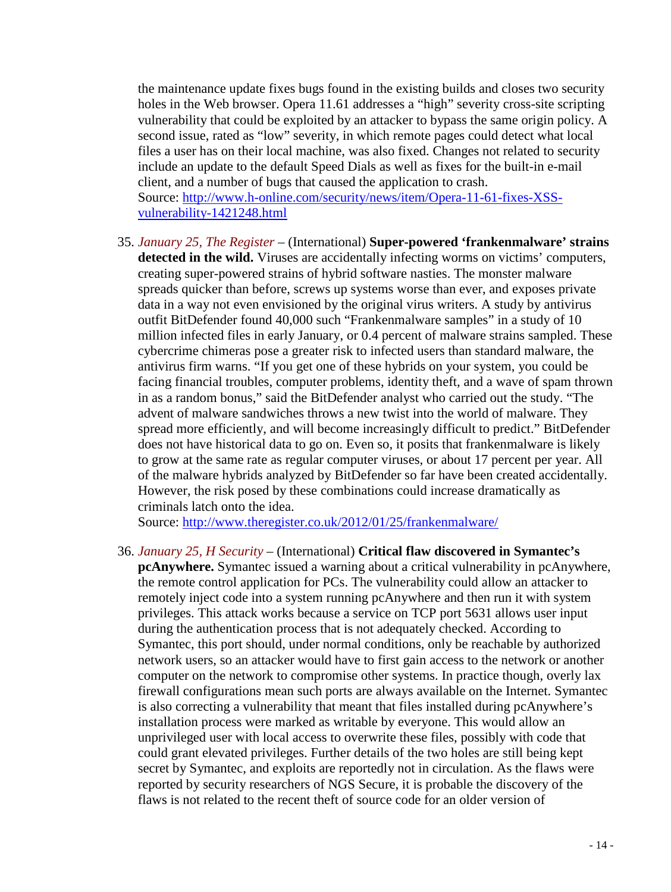the maintenance update fixes bugs found in the existing builds and closes two security holes in the Web browser. Opera 11.61 addresses a "high" severity cross-site scripting vulnerability that could be exploited by an attacker to bypass the same origin policy. A second issue, rated as "low" severity, in which remote pages could detect what local files a user has on their local machine, was also fixed. Changes not related to security include an update to the default Speed Dials as well as fixes for the built-in e-mail client, and a number of bugs that caused the application to crash. Source: [http://www.h-online.com/security/news/item/Opera-11-61-fixes-XSS](http://www.h-online.com/security/news/item/Opera-11-61-fixes-XSS-vulnerability-1421248.html)[vulnerability-1421248.html](http://www.h-online.com/security/news/item/Opera-11-61-fixes-XSS-vulnerability-1421248.html)

<span id="page-13-0"></span>35. *January 25, The Register* – (International) **Super-powered 'frankenmalware' strains detected in the wild.** Viruses are accidentally infecting worms on victims' computers, creating super-powered strains of hybrid software nasties. The monster malware spreads quicker than before, screws up systems worse than ever, and exposes private data in a way not even envisioned by the original virus writers. A study by antivirus outfit BitDefender found 40,000 such "Frankenmalware samples" in a study of 10 million infected files in early January, or 0.4 percent of malware strains sampled. These cybercrime chimeras pose a greater risk to infected users than standard malware, the antivirus firm warns. "If you get one of these hybrids on your system, you could be facing financial troubles, computer problems, identity theft, and a wave of spam thrown in as a random bonus," said the BitDefender analyst who carried out the study. "The advent of malware sandwiches throws a new twist into the world of malware. They spread more efficiently, and will become increasingly difficult to predict." BitDefender does not have historical data to go on. Even so, it posits that frankenmalware is likely to grow at the same rate as regular computer viruses, or about 17 percent per year. All of the malware hybrids analyzed by BitDefender so far have been created accidentally. However, the risk posed by these combinations could increase dramatically as criminals latch onto the idea.

Source:<http://www.theregister.co.uk/2012/01/25/frankenmalware/>

36. *January 25, H Security* – (International) **Critical flaw discovered in Symantec's pcAnywhere.** Symantec issued a warning about a critical vulnerability in pcAnywhere, the remote control application for PCs. The vulnerability could allow an attacker to remotely inject code into a system running pcAnywhere and then run it with system privileges. This attack works because a service on TCP port 5631 allows user input during the authentication process that is not adequately checked. According to Symantec, this port should, under normal conditions, only be reachable by authorized network users, so an attacker would have to first gain access to the network or another computer on the network to compromise other systems. In practice though, overly lax firewall configurations mean such ports are always available on the Internet. Symantec is also correcting a vulnerability that meant that files installed during pcAnywhere's installation process were marked as writable by everyone. This would allow an unprivileged user with local access to overwrite these files, possibly with code that could grant elevated privileges. Further details of the two holes are still being kept secret by Symantec, and exploits are reportedly not in circulation. As the flaws were reported by security researchers of NGS Secure, it is probable the discovery of the flaws is not related to the recent theft of source code for an older version of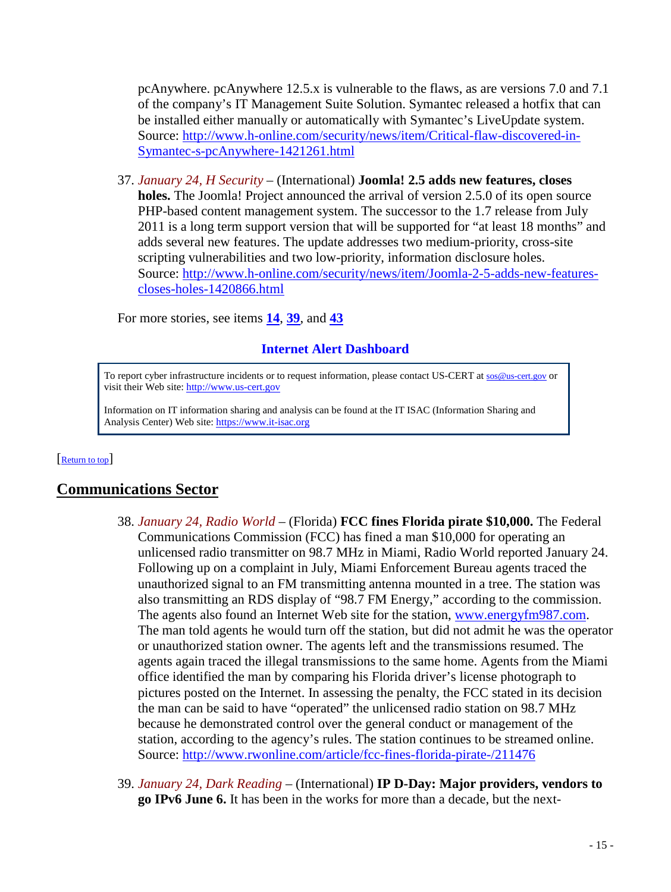pcAnywhere. pcAnywhere 12.5.x is vulnerable to the flaws, as are versions 7.0 and 7.1 of the company's IT Management Suite Solution. Symantec released a hotfix that can be installed either manually or automatically with Symantec's LiveUpdate system. Source: [http://www.h-online.com/security/news/item/Critical-flaw-discovered-in-](http://www.h-online.com/security/news/item/Critical-flaw-discovered-in-Symantec-s-pcAnywhere-1421261.html)[Symantec-s-pcAnywhere-1421261.html](http://www.h-online.com/security/news/item/Critical-flaw-discovered-in-Symantec-s-pcAnywhere-1421261.html)

37. *January 24, H Security* – (International) **Joomla! 2.5 adds new features, closes holes.** The Joomla! Project announced the arrival of version 2.5.0 of its open source PHP-based content management system. The successor to the 1.7 release from July 2011 is a long term support version that will be supported for "at least 18 months" and adds several new features. The update addresses two medium-priority, cross-site scripting vulnerabilities and two low-priority, information disclosure holes. Source: [http://www.h-online.com/security/news/item/Joomla-2-5-adds-new-features](http://www.h-online.com/security/news/item/Joomla-2-5-adds-new-features-closes-holes-1420866.html)[closes-holes-1420866.html](http://www.h-online.com/security/news/item/Joomla-2-5-adds-new-features-closes-holes-1420866.html)

For more stories, see items **[14](#page-5-0)**, **[39](#page-14-1)**, and **[43](#page-16-1)**

## **Internet Alert Dashboard**

To report cyber infrastructure incidents or to request information, please contact US-CERT at [sos@us-cert.gov](mailto:sos@us-cert.gov) or visit their Web site[: http://www.us-cert.gov](http://www.us-cert.gov/)

<span id="page-14-0"></span>Information on IT information sharing and analysis can be found at the IT ISAC (Information Sharing and Analysis Center) Web site: [https://www.it-isac.org](https://www.it-isac.org/) 

#### [\[Return to top\]](#page-0-2)

# **Communications Sector**

- 38. *January 24, Radio World* (Florida) **FCC fines Florida pirate \$10,000.** The Federal Communications Commission (FCC) has fined a man \$10,000 for operating an unlicensed radio transmitter on 98.7 MHz in Miami, Radio World reported January 24. Following up on a complaint in July, Miami Enforcement Bureau agents traced the unauthorized signal to an FM transmitting antenna mounted in a tree. The station was also transmitting an RDS display of "98.7 FM Energy," according to the commission. The agents also found an Internet Web site for the station, [www.energyfm987.com.](http://www.energyfm987.com/) The man told agents he would turn off the station, but did not admit he was the operator or unauthorized station owner. The agents left and the transmissions resumed. The agents again traced the illegal transmissions to the same home. Agents from the Miami office identified the man by comparing his Florida driver's license photograph to pictures posted on the Internet. In assessing the penalty, the FCC stated in its decision the man can be said to have "operated" the unlicensed radio station on 98.7 MHz because he demonstrated control over the general conduct or management of the station, according to the agency's rules. The station continues to be streamed online. Source:<http://www.rwonline.com/article/fcc-fines-florida-pirate-/211476>
- <span id="page-14-1"></span>39. *January 24, Dark Reading* – (International) **IP D-Day: Major providers, vendors to go IPv6 June 6.** It has been in the works for more than a decade, but the next-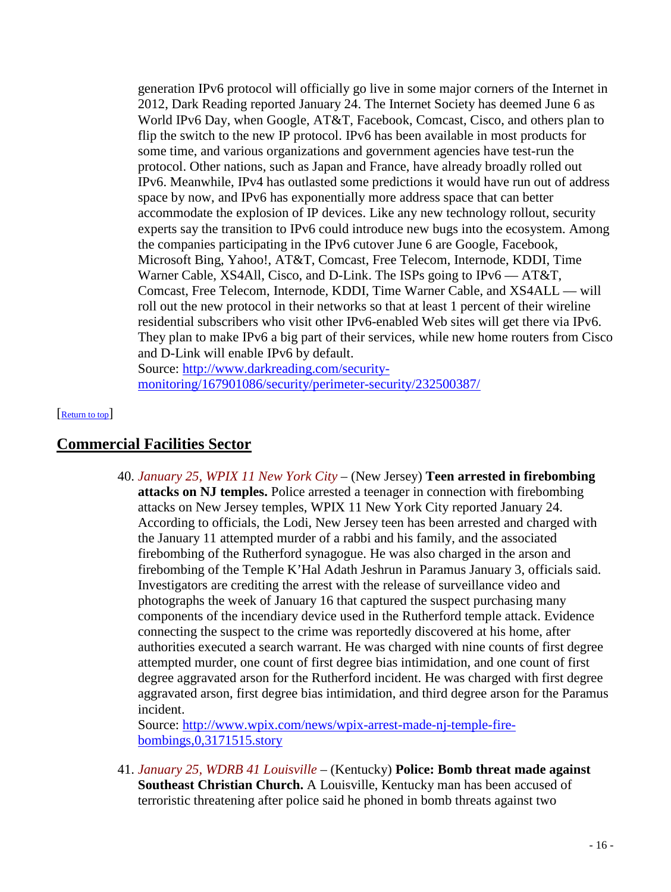generation IPv6 protocol will officially go live in some major corners of the Internet in 2012, Dark Reading reported January 24. The Internet Society has deemed June 6 as World IPv6 Day, when Google, AT&T, Facebook, Comcast, Cisco, and others plan to flip the switch to the new IP protocol. IPv6 has been available in most products for some time, and various organizations and government agencies have test-run the protocol. Other nations, such as Japan and France, have already broadly rolled out IPv6. Meanwhile, IPv4 has outlasted some predictions it would have run out of address space by now, and IPv6 has exponentially more address space that can better accommodate the explosion of IP devices. Like any new technology rollout, security experts say the transition to IPv6 could introduce new bugs into the ecosystem. Among the companies participating in the IPv6 cutover June 6 are Google, Facebook, Microsoft Bing, Yahoo!, AT&T, Comcast, Free Telecom, Internode, KDDI, Time Warner Cable, XS4All, Cisco, and D-Link. The ISPs going to IPv6 — AT&T, Comcast, Free Telecom, Internode, KDDI, Time Warner Cable, and XS4ALL — will roll out the new protocol in their networks so that at least 1 percent of their wireline residential subscribers who visit other IPv6-enabled Web sites will get there via IPv6. They plan to make IPv6 a big part of their services, while new home routers from Cisco and D-Link will enable IPv6 by default.

<span id="page-15-1"></span>Source: [http://www.darkreading.com/security](http://www.darkreading.com/security-monitoring/167901086/security/perimeter-security/232500387/)[monitoring/167901086/security/perimeter-security/232500387/](http://www.darkreading.com/security-monitoring/167901086/security/perimeter-security/232500387/)

[\[Return to top\]](#page-0-2) 

# <span id="page-15-0"></span>**Commercial Facilities Sector**

40. *January 25, WPIX 11 New York City* – (New Jersey) **Teen arrested in firebombing attacks on NJ temples.** Police arrested a teenager in connection with firebombing attacks on New Jersey temples, WPIX 11 New York City reported January 24. According to officials, the Lodi, New Jersey teen has been arrested and charged with the January 11 attempted murder of a rabbi and his family, and the associated firebombing of the Rutherford synagogue. He was also charged in the arson and firebombing of the Temple K'Hal Adath Jeshrun in Paramus January 3, officials said. Investigators are crediting the arrest with the release of surveillance video and photographs the week of January 16 that captured the suspect purchasing many components of the incendiary device used in the Rutherford temple attack. Evidence connecting the suspect to the crime was reportedly discovered at his home, after authorities executed a search warrant. He was charged with nine counts of first degree attempted murder, one count of first degree bias intimidation, and one count of first degree aggravated arson for the Rutherford incident. He was charged with first degree aggravated arson, first degree bias intimidation, and third degree arson for the Paramus incident.

Source: [http://www.wpix.com/news/wpix-arrest-made-nj-temple-fire](http://www.wpix.com/news/wpix-arrest-made-nj-temple-fire-bombings,0,3171515.story)[bombings,0,3171515.story](http://www.wpix.com/news/wpix-arrest-made-nj-temple-fire-bombings,0,3171515.story)

41. *January 25, WDRB 41 Louisville* – (Kentucky) **Police: Bomb threat made against Southeast Christian Church.** A Louisville, Kentucky man has been accused of terroristic threatening after police said he phoned in bomb threats against two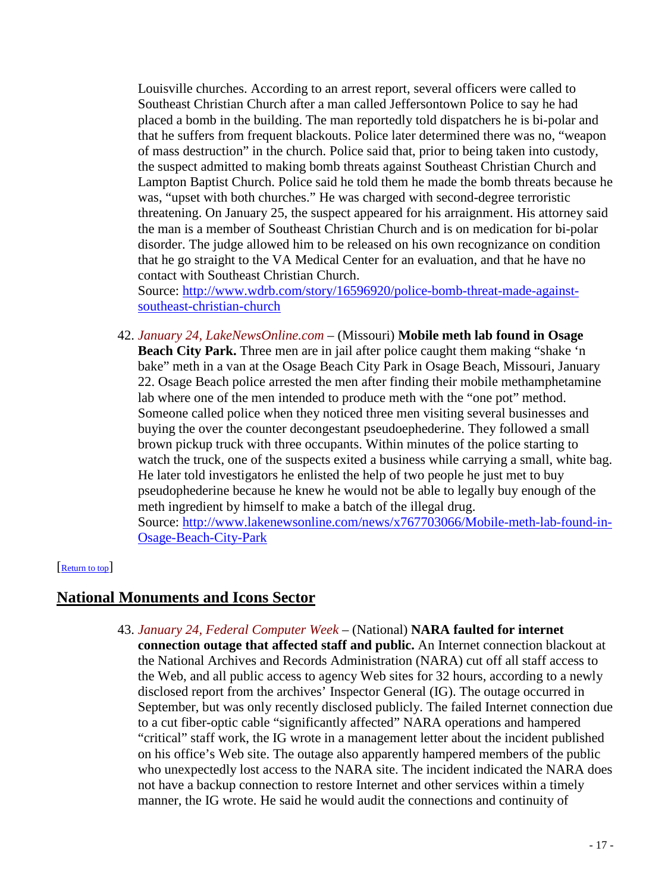Louisville churches. According to an arrest report, several officers were called to Southeast Christian Church after a man called Jeffersontown Police to say he had placed a bomb in the building. The man reportedly told dispatchers he is bi-polar and that he suffers from frequent blackouts. Police later determined there was no, "weapon of mass destruction" in the church. Police said that, prior to being taken into custody, the suspect admitted to making bomb threats against Southeast Christian Church and Lampton Baptist Church. Police said he told them he made the bomb threats because he was, "upset with both churches." He was charged with second-degree terroristic threatening. On January 25, the suspect appeared for his arraignment. His attorney said the man is a member of Southeast Christian Church and is on medication for bi-polar disorder. The judge allowed him to be released on his own recognizance on condition that he go straight to the VA Medical Center for an evaluation, and that he have no contact with Southeast Christian Church.

Source: [http://www.wdrb.com/story/16596920/police-bomb-threat-made-against](http://www.wdrb.com/story/16596920/police-bomb-threat-made-against-southeast-christian-church)[southeast-christian-church](http://www.wdrb.com/story/16596920/police-bomb-threat-made-against-southeast-christian-church)

42. *January 24, LakeNewsOnline.com* – (Missouri) **Mobile meth lab found in Osage Beach City Park.** Three men are in jail after police caught them making "shake 'n bake" meth in a van at the Osage Beach City Park in Osage Beach, Missouri, January 22. Osage Beach police arrested the men after finding their mobile methamphetamine lab where one of the men intended to produce meth with the "one pot" method. Someone called police when they noticed three men visiting several businesses and buying the over the counter decongestant pseudoephederine. They followed a small brown pickup truck with three occupants. Within minutes of the police starting to watch the truck, one of the suspects exited a business while carrying a small, white bag. He later told investigators he enlisted the help of two people he just met to buy pseudophederine because he knew he would not be able to legally buy enough of the meth ingredient by himself to make a batch of the illegal drug. Source: [http://www.lakenewsonline.com/news/x767703066/Mobile-meth-lab-found-in-](http://www.lakenewsonline.com/news/x767703066/Mobile-meth-lab-found-in-Osage-Beach-City-Park)[Osage-Beach-City-Park](http://www.lakenewsonline.com/news/x767703066/Mobile-meth-lab-found-in-Osage-Beach-City-Park)

#### <span id="page-16-0"></span>[\[Return to top\]](#page-0-2)

## <span id="page-16-1"></span>**National Monuments and Icons Sector**

43. *January 24, Federal Computer Week* – (National) **NARA faulted for internet connection outage that affected staff and public.** An Internet connection blackout at the National Archives and Records Administration (NARA) cut off all staff access to the Web, and all public access to agency Web sites for 32 hours, according to a newly disclosed report from the archives' Inspector General (IG). The outage occurred in September, but was only recently disclosed publicly. The failed Internet connection due to a cut fiber-optic cable "significantly affected" NARA operations and hampered "critical" staff work, the IG wrote in a management letter about the incident published on his office's Web site. The outage also apparently hampered members of the public who unexpectedly lost access to the NARA site. The incident indicated the NARA does not have a backup connection to restore Internet and other services within a timely manner, the IG wrote. He said he would audit the connections and continuity of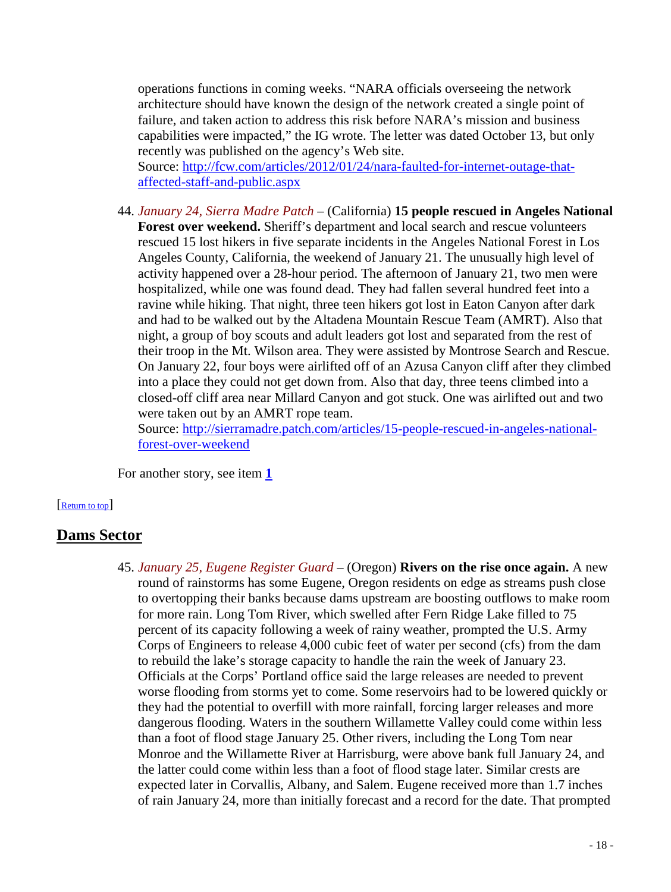operations functions in coming weeks. "NARA officials overseeing the network architecture should have known the design of the network created a single point of failure, and taken action to address this risk before NARA's mission and business capabilities were impacted," the IG wrote. The letter was dated October 13, but only recently was published on the agency's Web site.

Source: [http://fcw.com/articles/2012/01/24/nara-faulted-for-internet-outage-that](http://fcw.com/articles/2012/01/24/nara-faulted-for-internet-outage-that-affected-staff-and-public.aspx)[affected-staff-and-public.aspx](http://fcw.com/articles/2012/01/24/nara-faulted-for-internet-outage-that-affected-staff-and-public.aspx)

44. *January 24, Sierra Madre Patch* – (California) **15 people rescued in Angeles National Forest over weekend.** Sheriff's department and local search and rescue volunteers rescued 15 lost hikers in five separate incidents in the Angeles National Forest in Los Angeles County, California, the weekend of January 21. The unusually high level of activity happened over a 28-hour period. The afternoon of January 21, two men were hospitalized, while one was found dead. They had fallen several hundred feet into a ravine while hiking. That night, three teen hikers got lost in Eaton Canyon after dark and had to be walked out by the Altadena Mountain Rescue Team (AMRT). Also that night, a group of boy scouts and adult leaders got lost and separated from the rest of their troop in the Mt. Wilson area. They were assisted by Montrose Search and Rescue. On January 22, four boys were airlifted off of an Azusa Canyon cliff after they climbed into a place they could not get down from. Also that day, three teens climbed into a closed-off cliff area near Millard Canyon and got stuck. One was airlifted out and two were taken out by an AMRT rope team.

Source: [http://sierramadre.patch.com/articles/15-people-rescued-in-angeles-national](http://sierramadre.patch.com/articles/15-people-rescued-in-angeles-national-forest-over-weekend)[forest-over-weekend](http://sierramadre.patch.com/articles/15-people-rescued-in-angeles-national-forest-over-weekend)

<span id="page-17-0"></span>For another story, see item **[1](#page-0-1)**

#### [\[Return to top\]](#page-0-2)

## <span id="page-17-1"></span>**Dams Sector**

45. *January 25, Eugene Register Guard* – (Oregon) **Rivers on the rise once again.** A new round of rainstorms has some Eugene, Oregon residents on edge as streams push close to overtopping their banks because dams upstream are boosting outflows to make room for more rain. Long Tom River, which swelled after Fern Ridge Lake filled to 75 percent of its capacity following a week of rainy weather, prompted the U.S. Army Corps of Engineers to release 4,000 cubic feet of water per second (cfs) from the dam to rebuild the lake's storage capacity to handle the rain the week of January 23. Officials at the Corps' Portland office said the large releases are needed to prevent worse flooding from storms yet to come. Some reservoirs had to be lowered quickly or they had the potential to overfill with more rainfall, forcing larger releases and more dangerous flooding. Waters in the southern Willamette Valley could come within less than a foot of flood stage January 25. Other rivers, including the Long Tom near Monroe and the Willamette River at Harrisburg, were above bank full January 24, and the latter could come within less than a foot of flood stage later. Similar crests are expected later in Corvallis, Albany, and Salem. Eugene received more than 1.7 inches of rain January 24, more than initially forecast and a record for the date. That prompted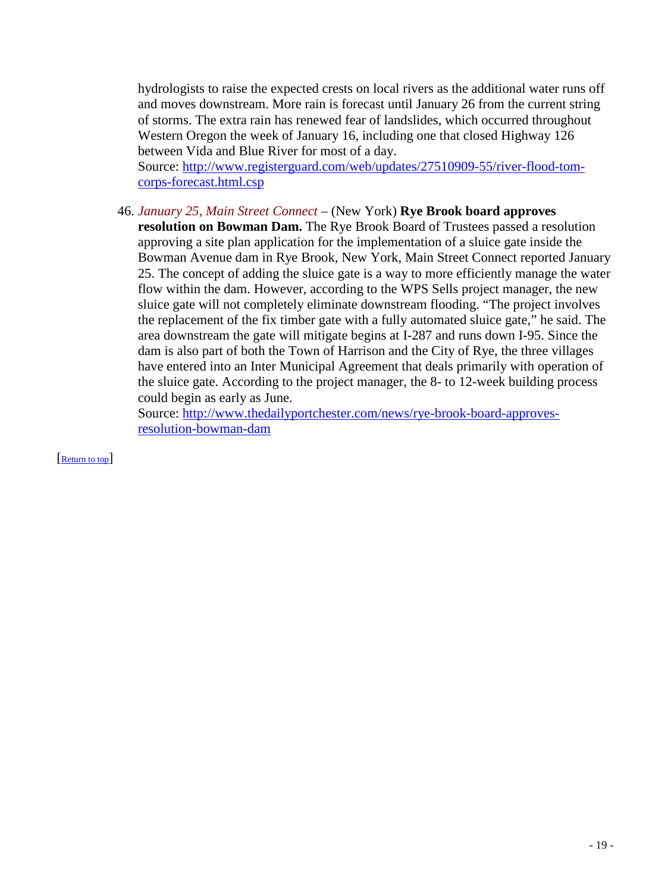hydrologists to raise the expected crests on local rivers as the additional water runs off and moves downstream. More rain is forecast until January 26 from the current string of storms. The extra rain has renewed fear of landslides, which occurred throughout Western Oregon the week of January 16, including one that closed Highway 126 between Vida and Blue River for most of a day.

Source: [http://www.registerguard.com/web/updates/27510909-55/river-flood-tom](http://www.registerguard.com/web/updates/27510909-55/river-flood-tom-corps-forecast.html.csp)[corps-forecast.html.csp](http://www.registerguard.com/web/updates/27510909-55/river-flood-tom-corps-forecast.html.csp)

46. *January 25, Main Street Connect* – (New York) **Rye Brook board approves** 

**resolution on Bowman Dam.** The Rye Brook Board of Trustees passed a resolution approving a site plan application for the implementation of a sluice gate inside the Bowman Avenue dam in Rye Brook, New York, Main Street Connect reported January 25. The concept of adding the sluice gate is a way to more efficiently manage the water flow within the dam. However, according to the WPS Sells project manager, the new sluice gate will not completely eliminate downstream flooding. "The project involves the replacement of the fix timber gate with a fully automated sluice gate," he said. The area downstream the gate will mitigate begins at I-287 and runs down I-95. Since the dam is also part of both the Town of Harrison and the City of Rye, the three villages have entered into an Inter Municipal Agreement that deals primarily with operation of the sluice gate. According to the project manager, the 8- to 12-week building process could begin as early as June.

Source: [http://www.thedailyportchester.com/news/rye-brook-board-approves](http://www.thedailyportchester.com/news/rye-brook-board-approves-resolution-bowman-dam)[resolution-bowman-dam](http://www.thedailyportchester.com/news/rye-brook-board-approves-resolution-bowman-dam)

[\[Return to top\]](#page-0-2)